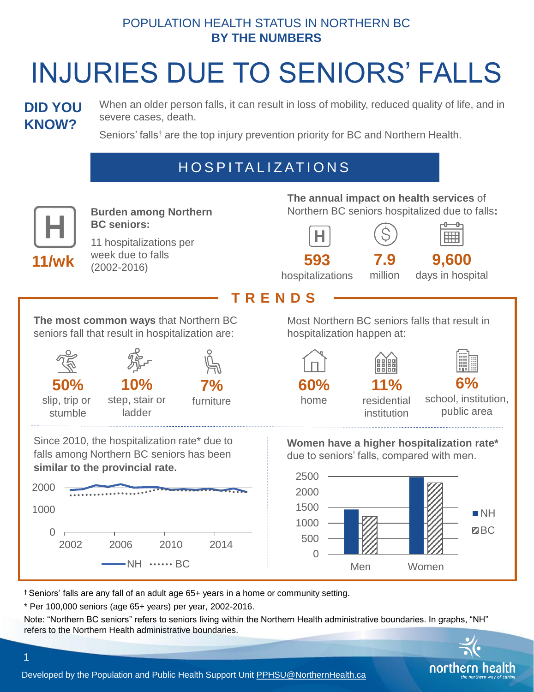## POPULATION HEALTH STATUS IN NORTHERN BC **BY THE NUMBERS**

# INJURIES DUE TO SENIORS' FALLS

## **DID YOU KNOW?**

When an older person falls, it can result in loss of mobility, reduced quality of life, and in severe cases, death.

Seniors' falls<sup>†</sup> are the top injury prevention priority for BC and Northern Health.

# H O S P I TA L I Z AT I O N S



† Seniors' falls are any fall of an adult age 65+ years in a home or community setting.

\* Per 100,000 seniors (age 65+ years) per year, 2002-2016.

Note: "Northern BC seniors" refers to seniors living within the Northern Health administrative boundaries. In graphs, "NH" refers to the Northern Health administrative boundaries.



Developed by the Population and Public Health Support Unit [PPHSU@NorthernHealth.ca](mailto:PPHSU@NorthernHealth.ca)